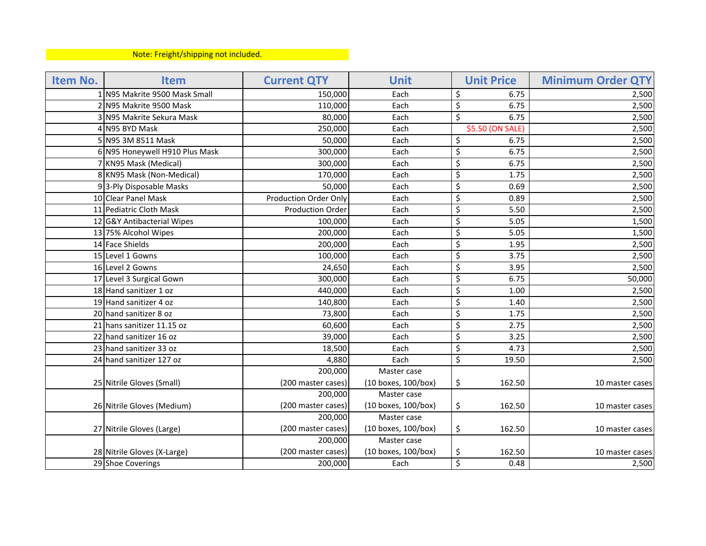## Note: Freight/shipping not included.

| Item No. | <b>Item</b>                    | <b>Current QTY</b>           | <b>Unit</b>         |                         | <b>Unit Price</b> | <b>Minimum Order QTY</b> |
|----------|--------------------------------|------------------------------|---------------------|-------------------------|-------------------|--------------------------|
|          | 1 N95 Makrite 9500 Mask Small  | 150,000                      | Each                | \$                      | 6.75              | 2,500                    |
|          | 2 N95 Makrite 9500 Mask        | 110,000                      | Each                | \$                      | 6.75              | 2,500                    |
|          | 3 N95 Makrite Sekura Mask      | 80,000                       | Each                | $\overline{\mathsf{S}}$ | 6.75              | 2,500                    |
|          | 4 N95 BYD Mask                 | 250,000                      | Each                |                         | \$5.50 (ON SALE)  | 2,500                    |
|          | 5 N95 3M 8511 Mask             | 50,000                       | Each                | \$                      | 6.75              | 2,500                    |
|          | 6 N95 Honeywell H910 Plus Mask | 300,000                      | Each                | \$                      | 6.75              | 2,500                    |
|          | 7 KN95 Mask (Medical)          | 300,000                      | Each                | \$                      | 6.75              | 2,500                    |
|          | 8 KN95 Mask (Non-Medical)      | 170,000                      | Each                | \$                      | 1.75              | 2,500                    |
|          | 93-Ply Disposable Masks        | 50,000                       | Each                | \$                      | 0.69              | 2,500                    |
|          | 10 Clear Panel Mask            | <b>Production Order Only</b> | Each                | \$                      | 0.89              | 2,500                    |
|          | 11 Pediatric Cloth Mask        | <b>Production Order</b>      | Each                | \$                      | 5.50              | 2,500                    |
|          | 12 G&Y Antibacterial Wipes     | 100,000                      | Each                | \$                      | 5.05              | 1,500                    |
|          | 13 75% Alcohol Wipes           | 200,000                      | Each                | \$                      | 5.05              | 1,500                    |
|          | 14 Face Shields                | 200,000                      | Each                | \$                      | 1.95              | 2,500                    |
|          | 15 Level 1 Gowns               | 100,000                      | Each                | \$                      | 3.75              | 2,500                    |
|          | 16 Level 2 Gowns               | 24,650                       | Each                | \$                      | 3.95              | 2,500                    |
|          | 17 Level 3 Surgical Gown       | 300,000                      | Each                | \$                      | 6.75              | 50,000                   |
|          | 18 Hand sanitizer 1 oz         | 440,000                      | Each                | \$                      | 1.00              | 2,500                    |
|          | 19 Hand sanitizer 4 oz         | 140,800                      | Each                | \$                      | 1.40              | 2,500                    |
|          | 20 hand sanitizer 8 oz         | 73,800                       | Each                | \$                      | 1.75              | 2,500                    |
|          | 21 hans sanitizer 11.15 oz     | 60,600                       | Each                | \$                      | 2.75              | 2,500                    |
|          | 22 hand sanitizer 16 oz        | 39,000                       | Each                | \$                      | 3.25              | 2,500                    |
|          | 23 hand sanitizer 33 oz        | 18,500                       | Each                | \$                      | 4.73              | 2,500                    |
|          | 24 hand sanitizer 127 oz       | 4,880                        | Each                | \$                      | 19.50             | 2,500                    |
|          |                                | 200,000                      | Master case         |                         |                   |                          |
|          | 25 Nitrile Gloves (Small)      | (200 master cases)           | (10 boxes, 100/box) | \$                      | 162.50            | 10 master cases          |
|          |                                | 200,000                      | Master case         |                         |                   |                          |
|          | 26 Nitrile Gloves (Medium)     | (200 master cases)           | (10 boxes, 100/box) | \$                      | 162.50            | 10 master cases          |
|          |                                | 200,000                      | Master case         |                         |                   |                          |
|          | 27 Nitrile Gloves (Large)      | (200 master cases)           | (10 boxes, 100/box) | \$                      | 162.50            | 10 master cases          |
|          |                                | 200,000                      | Master case         |                         |                   |                          |
|          | 28 Nitrile Gloves (X-Large)    | (200 master cases)           | (10 boxes, 100/box) | \$                      | 162.50            | 10 master cases          |
|          | 29 Shoe Coverings              | 200,000                      | Each                | \$                      | 0.48              | 2,500                    |